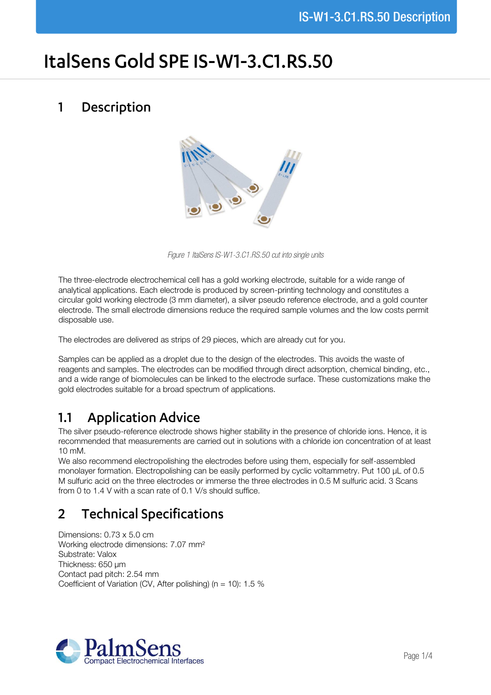# ItalSens Gold SPE IS-W1-3.C1.RS.50

#### Description  $\mathbf{1}$



*Figure 1 ItalSens IS-W1-3.C1.RS.50 cut into single units*

The three-electrode electrochemical cell has a gold working electrode, suitable for a wide range of analytical applications. Each electrode is produced by screen-printing technology and constitutes a circular gold working electrode (3 mm diameter), a silver pseudo reference electrode, and a gold counter electrode. The small electrode dimensions reduce the required sample volumes and the low costs permit disposable use.

The electrodes are delivered as strips of 29 pieces, which are already cut for you.

Samples can be applied as a droplet due to the design of the electrodes. This avoids the waste of reagents and samples. The electrodes can be modified through direct adsorption, chemical binding, etc., and a wide range of biomolecules can be linked to the electrode surface. These customizations make the gold electrodes suitable for a broad spectrum of applications.

# **Application Advice**  $1.1$

The silver pseudo-reference electrode shows higher stability in the presence of chloride ions. Hence, it is recommended that measurements are carried out in solutions with a chloride ion concentration of at least 10 mM.

We also recommend electropolishing the electrodes before using them, especially for self-assembled monolayer formation. Electropolishing can be easily performed by cyclic voltammetry. Put 100 µL of 0.5 M sulfuric acid on the three electrodes or immerse the three electrodes in 0.5 M sulfuric acid. 3 Scans from 0 to 1.4 V with a scan rate of 0.1 V/s should suffice.

# **Technical Specifications**  $\overline{2}$

Dimensions: 0.73 x 5.0 cm Working electrode dimensions: 7.07 mm² Substrate: Valox Thickness: 650 µm Contact pad pitch: 2.54 mm Coefficient of Variation (CV, After polishing) ( $n = 10$ ): 1.5 %

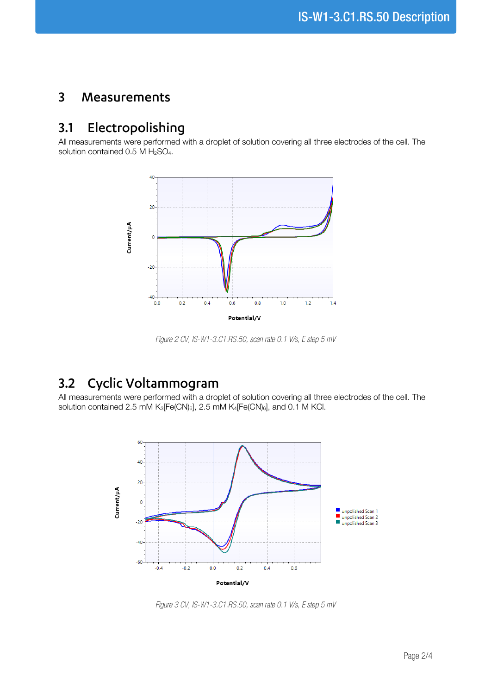#### $\overline{3}$ Measurements

### Electropolishing  $3.1$

All measurements were performed with a droplet of solution covering all three electrodes of the cell. The solution contained  $0.5$  M  $H<sub>2</sub>SO<sub>4</sub>$ .



*Figure 2 CV, IS-W1-3.C1.RS.50, scan rate 0.1 V/s, E step 5 mV*

# Cyclic Voltammogram  $3.2$

All measurements were performed with a droplet of solution covering all three electrodes of the cell. The solution contained 2.5 mM K<sub>3</sub>[Fe(CN)<sub>6</sub>], 2.5 mM K<sub>4</sub>[Fe(CN)<sub>6</sub>], and 0.1 M KCl.



*Figure 3 CV, IS-W1-3.C1.RS.50, scan rate 0.1 V/s, E step 5 mV*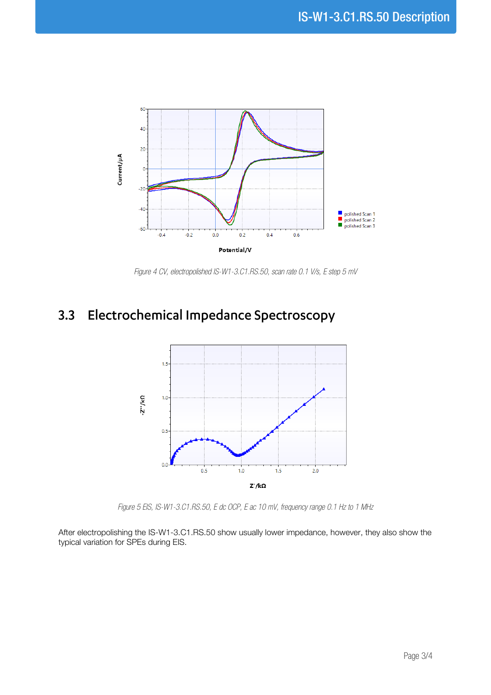

*Figure 4 CV, electropolished IS-W1-3.C1.RS.50, scan rate 0.1 V/s, E step 5 mV*

# 3.3 Electrochemical Impedance Spectroscopy



*Figure 5 EIS, IS-W1-3.C1.RS.50, E dc OCP, E ac 10 mV, frequency range 0.1 Hz to 1 MHz*

After electropolishing the IS-W1-3.C1.RS.50 show usually lower impedance, however, they also show the typical variation for SPEs during EIS.